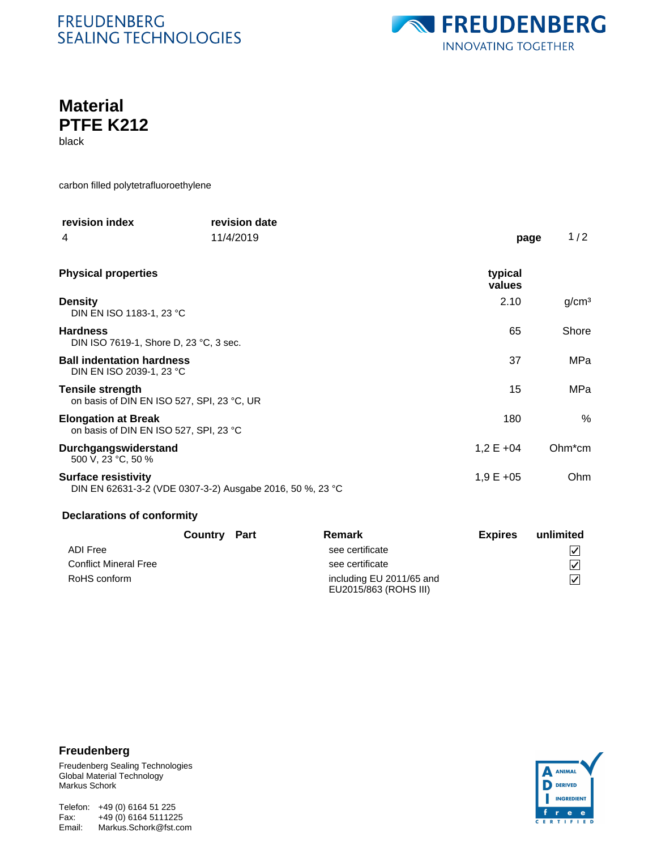# **FREUDENBERG SEALING TECHNOLOGIES**



# **Material PTFE K212**

black

carbon filled polytetrafluoroethylene

| revision index                                                        | revision date                                             |                      |                   |
|-----------------------------------------------------------------------|-----------------------------------------------------------|----------------------|-------------------|
| 4                                                                     | 11/4/2019                                                 | page                 | 1/2               |
| <b>Physical properties</b>                                            |                                                           | typical<br>values    |                   |
| <b>Density</b><br>DIN EN ISO 1183-1, 23 °C                            |                                                           | 2.10                 | g/cm <sup>3</sup> |
| <b>Hardness</b><br>DIN ISO 7619-1, Shore D, 23 °C, 3 sec.             |                                                           | 65                   | Shore             |
| <b>Ball indentation hardness</b><br>DIN EN ISO 2039-1, 23 °C          |                                                           | 37                   | MPa               |
| <b>Tensile strength</b><br>on basis of DIN EN ISO 527, SPI, 23 °C, UR |                                                           | 15                   | MPa               |
| <b>Elongation at Break</b><br>on basis of DIN EN ISO 527, SPI, 23 °C  |                                                           | 180                  | %                 |
| Durchgangswiderstand<br>500 V, 23 °C, 50 %                            |                                                           | $1,2 \text{ E } +04$ | $Ohm*cm$          |
| <b>Surface resistivity</b>                                            | DIN EN 62631-3-2 (VDE 0307-3-2) Ausgabe 2016, 50 %, 23 °C | $1,9E + 05$          | Ohm               |

#### **Declarations of conformity**

|                              | <b>Country Part</b> | Remark                                            | <b>Expires</b> | unlimited      |
|------------------------------|---------------------|---------------------------------------------------|----------------|----------------|
| ADI Free                     |                     | see certificate                                   |                | V              |
| <b>Conflict Mineral Free</b> |                     | see certificate                                   |                | $\overline{V}$ |
| RoHS conform                 |                     | including EU 2011/65 and<br>EU2015/863 (ROHS III) |                | V              |

## **Freudenberg**

Freudenberg Sealing Technologies Global Material Technology Markus Schork

Telefon: +49 (0) 6164 51 225 Email: Markus.Schork@fst.com Fax: +49 (0) 6164 5111225